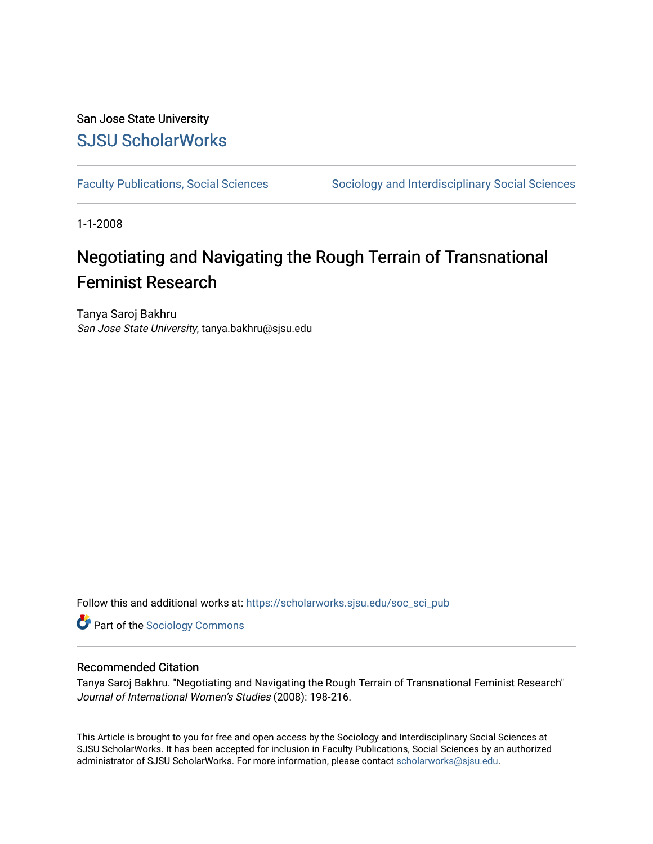# San Jose State University [SJSU ScholarWorks](https://scholarworks.sjsu.edu/)

[Faculty Publications, Social Sciences](https://scholarworks.sjsu.edu/soc_sci_pub) Sociology and Interdisciplinary Social Sciences

1-1-2008

# Negotiating and Navigating the Rough Terrain of Transnational Feminist Research

Tanya Saroj Bakhru San Jose State University, tanya.bakhru@sjsu.edu

Follow this and additional works at: [https://scholarworks.sjsu.edu/soc\\_sci\\_pub](https://scholarworks.sjsu.edu/soc_sci_pub?utm_source=scholarworks.sjsu.edu%2Fsoc_sci_pub%2F1&utm_medium=PDF&utm_campaign=PDFCoverPages) 

**Part of the [Sociology Commons](http://network.bepress.com/hgg/discipline/416?utm_source=scholarworks.sjsu.edu%2Fsoc_sci_pub%2F1&utm_medium=PDF&utm_campaign=PDFCoverPages)** 

### Recommended Citation

Tanya Saroj Bakhru. "Negotiating and Navigating the Rough Terrain of Transnational Feminist Research" Journal of International Women's Studies (2008): 198-216.

This Article is brought to you for free and open access by the Sociology and Interdisciplinary Social Sciences at SJSU ScholarWorks. It has been accepted for inclusion in Faculty Publications, Social Sciences by an authorized administrator of SJSU ScholarWorks. For more information, please contact [scholarworks@sjsu.edu](mailto:scholarworks@sjsu.edu).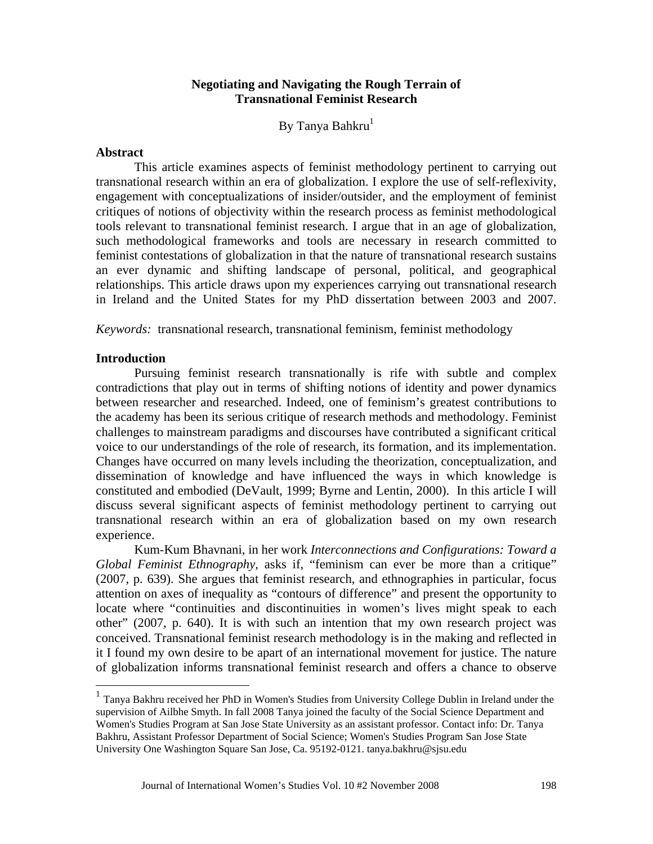# **Negotiating and Navigating the Rough Terrain of Transnational Feminist Research**

By Tanya Bahkru<sup>1</sup>

#### **Abstract**

This article examines aspects of feminist methodology pertinent to carrying out transnational research within an era of globalization. I explore the use of self-reflexivity, engagement with conceptualizations of insider/outsider, and the employment of feminist critiques of notions of objectivity within the research process as feminist methodological tools relevant to transnational feminist research. I argue that in an age of globalization, such methodological frameworks and tools are necessary in research committed to feminist contestations of globalization in that the nature of transnational research sustains an ever dynamic and shifting landscape of personal, political, and geographical relationships. This article draws upon my experiences carrying out transnational research in Ireland and the United States for my PhD dissertation between 2003 and 2007.

*Keywords:* transnational research, transnational feminism, feminist methodology

#### **Introduction**

Pursuing feminist research transnationally is rife with subtle and complex contradictions that play out in terms of shifting notions of identity and power dynamics between researcher and researched. Indeed, one of feminism's greatest contributions to the academy has been its serious critique of research methods and methodology. Feminist challenges to mainstream paradigms and discourses have contributed a significant critical voice to our understandings of the role of research, its formation, and its implementation. Changes have occurred on many levels including the theorization, conceptualization, and dissemination of knowledge and have influenced the ways in which knowledge is constituted and embodied (DeVault, 1999; Byrne and Lentin, 2000). In this article I will discuss several significant aspects of feminist methodology pertinent to carrying out transnational research within an era of globalization based on my own research experience.

Kum-Kum Bhavnani, in her work *Interconnections and Configurations: Toward a Global Feminist Ethnography,* asks if, "feminism can ever be more than a critique" (2007, p. 639). She argues that feminist research, and ethnographies in particular, focus attention on axes of inequality as "contours of difference" and present the opportunity to locate where "continuities and discontinuities in women's lives might speak to each other" (2007, p. 640). It is with such an intention that my own research project was conceived. Transnational feminist research methodology is in the making and reflected in it I found my own desire to be apart of an international movement for justice. The nature of globalization informs transnational feminist research and offers a chance to observe

 supervision of Ailbhe Smyth. In fall 2008 Tanya joined the faculty of the Social Science Department and <sup>1</sup> Tanya Bakhru received her PhD in Women's Studies from University College Dublin in Ireland under the Women's Studies Program at San Jose State University as an assistant professor. Contact info: Dr. Tanya Bakhru, Assistant Professor Department of Social Science; Women's Studies Program San Jose State University One Washington Square San Jose, Ca. 95192-0121. tanya.bakhru@sjsu.edu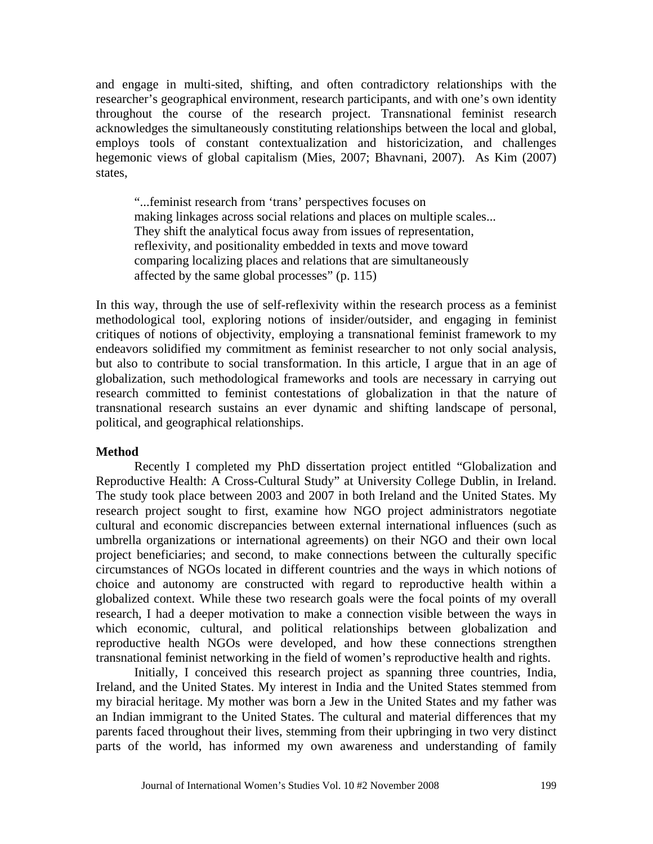and engage in multi-sited, shifting, and often contradictory relationships with the researcher's geographical environment, research participants, and with one's own identity throughout the course of the research project. Transnational feminist research acknowledges the simultaneously constituting relationships between the local and global, employs tools of constant contextualization and historicization, and challenges hegemonic views of global capitalism (Mies, 2007; Bhavnani, 2007). As Kim (2007) states,

"...feminist research from 'trans' perspectives focuses on making linkages across social relations and places on multiple scales... They shift the analytical focus away from issues of representation, reflexivity, and positionality embedded in texts and move toward comparing localizing places and relations that are simultaneously affected by the same global processes" (p. 115)

In this way, through the use of self-reflexivity within the research process as a feminist methodological tool, exploring notions of insider/outsider, and engaging in feminist critiques of notions of objectivity, employing a transnational feminist framework to my endeavors solidified my commitment as feminist researcher to not only social analysis, but also to contribute to social transformation. In this article, I argue that in an age of globalization, such methodological frameworks and tools are necessary in carrying out research committed to feminist contestations of globalization in that the nature of transnational research sustains an ever dynamic and shifting landscape of personal, political, and geographical relationships.

### **Method**

Recently I completed my PhD dissertation project entitled "Globalization and Reproductive Health: A Cross-Cultural Study" at University College Dublin, in Ireland. The study took place between 2003 and 2007 in both Ireland and the United States. My research project sought to first, examine how NGO project administrators negotiate cultural and economic discrepancies between external international influences (such as umbrella organizations or international agreements) on their NGO and their own local project beneficiaries; and second, to make connections between the culturally specific circumstances of NGOs located in different countries and the ways in which notions of choice and autonomy are constructed with regard to reproductive health within a globalized context. While these two research goals were the focal points of my overall research, I had a deeper motivation to make a connection visible between the ways in which economic, cultural, and political relationships between globalization and reproductive health NGOs were developed, and how these connections strengthen transnational feminist networking in the field of women's reproductive health and rights.

Initially, I conceived this research project as spanning three countries, India, Ireland, and the United States. My interest in India and the United States stemmed from my biracial heritage. My mother was born a Jew in the United States and my father was an Indian immigrant to the United States. The cultural and material differences that my parents faced throughout their lives, stemming from their upbringing in two very distinct parts of the world, has informed my own awareness and understanding of family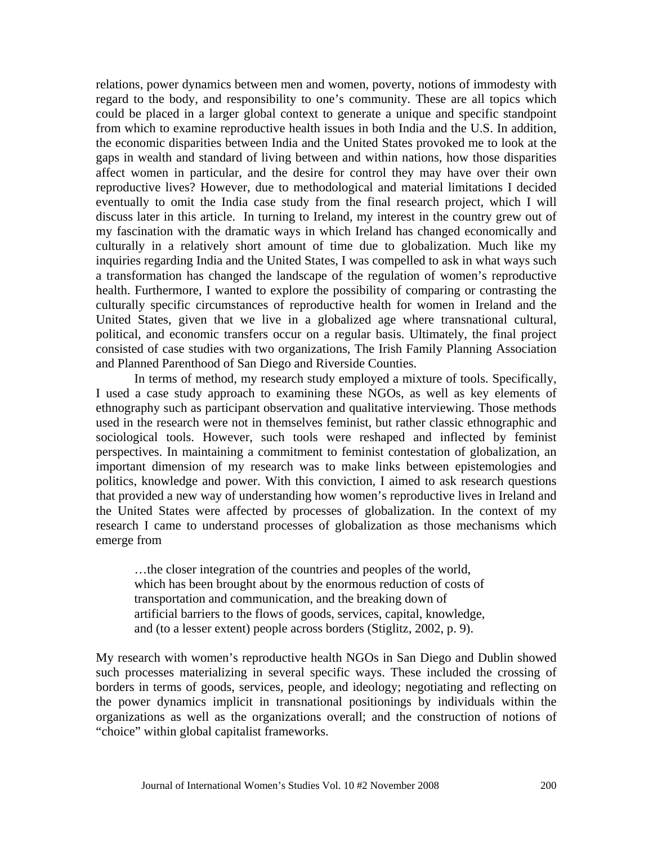relations, power dynamics between men and women, poverty, notions of immodesty with regard to the body, and responsibility to one's community. These are all topics which could be placed in a larger global context to generate a unique and specific standpoint from which to examine reproductive health issues in both India and the U.S. In addition, the economic disparities between India and the United States provoked me to look at the gaps in wealth and standard of living between and within nations, how those disparities affect women in particular, and the desire for control they may have over their own reproductive lives? However, due to methodological and material limitations I decided eventually to omit the India case study from the final research project, which I will discuss later in this article. In turning to Ireland, my interest in the country grew out of my fascination with the dramatic ways in which Ireland has changed economically and culturally in a relatively short amount of time due to globalization. Much like my inquiries regarding India and the United States, I was compelled to ask in what ways such a transformation has changed the landscape of the regulation of women's reproductive health. Furthermore, I wanted to explore the possibility of comparing or contrasting the culturally specific circumstances of reproductive health for women in Ireland and the United States, given that we live in a globalized age where transnational cultural, political, and economic transfers occur on a regular basis. Ultimately, the final project consisted of case studies with two organizations, The Irish Family Planning Association and Planned Parenthood of San Diego and Riverside Counties.

In terms of method, my research study employed a mixture of tools. Specifically, I used a case study approach to examining these NGOs, as well as key elements of ethnography such as participant observation and qualitative interviewing. Those methods used in the research were not in themselves feminist, but rather classic ethnographic and sociological tools. However, such tools were reshaped and inflected by feminist perspectives. In maintaining a commitment to feminist contestation of globalization, an important dimension of my research was to make links between epistemologies and politics, knowledge and power. With this conviction, I aimed to ask research questions that provided a new way of understanding how women's reproductive lives in Ireland and the United States were affected by processes of globalization. In the context of my research I came to understand processes of globalization as those mechanisms which emerge from

…the closer integration of the countries and peoples of the world, which has been brought about by the enormous reduction of costs of transportation and communication, and the breaking down of artificial barriers to the flows of goods, services, capital, knowledge, and (to a lesser extent) people across borders (Stiglitz, 2002, p. 9).

My research with women's reproductive health NGOs in San Diego and Dublin showed such processes materializing in several specific ways. These included the crossing of borders in terms of goods, services, people, and ideology; negotiating and reflecting on the power dynamics implicit in transnational positionings by individuals within the organizations as well as the organizations overall; and the construction of notions of "choice" within global capitalist frameworks.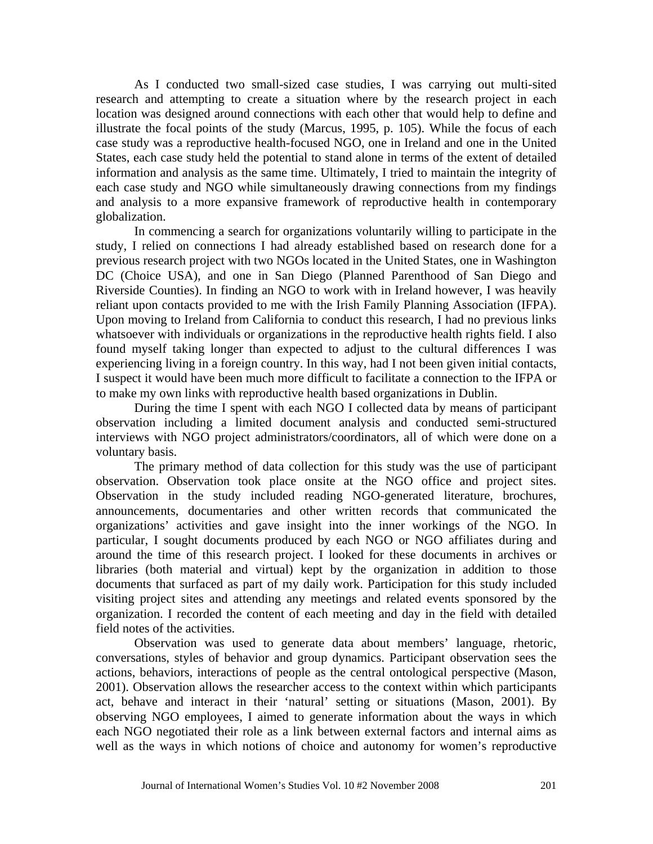As I conducted two small-sized case studies, I was carrying out multi-sited research and attempting to create a situation where by the research project in each location was designed around connections with each other that would help to define and illustrate the focal points of the study (Marcus, 1995, p. 105). While the focus of each case study was a reproductive health-focused NGO, one in Ireland and one in the United States, each case study held the potential to stand alone in terms of the extent of detailed information and analysis as the same time. Ultimately, I tried to maintain the integrity of each case study and NGO while simultaneously drawing connections from my findings and analysis to a more expansive framework of reproductive health in contemporary globalization.

In commencing a search for organizations voluntarily willing to participate in the study, I relied on connections I had already established based on research done for a previous research project with two NGOs located in the United States, one in Washington DC (Choice USA), and one in San Diego (Planned Parenthood of San Diego and Riverside Counties). In finding an NGO to work with in Ireland however, I was heavily reliant upon contacts provided to me with the Irish Family Planning Association (IFPA). Upon moving to Ireland from California to conduct this research, I had no previous links whatsoever with individuals or organizations in the reproductive health rights field. I also found myself taking longer than expected to adjust to the cultural differences I was experiencing living in a foreign country. In this way, had I not been given initial contacts, I suspect it would have been much more difficult to facilitate a connection to the IFPA or to make my own links with reproductive health based organizations in Dublin.

During the time I spent with each NGO I collected data by means of participant observation including a limited document analysis and conducted semi-structured interviews with NGO project administrators/coordinators, all of which were done on a voluntary basis.

The primary method of data collection for this study was the use of participant observation. Observation took place onsite at the NGO office and project sites. Observation in the study included reading NGO-generated literature, brochures, announcements, documentaries and other written records that communicated the organizations' activities and gave insight into the inner workings of the NGO. In particular, I sought documents produced by each NGO or NGO affiliates during and around the time of this research project. I looked for these documents in archives or libraries (both material and virtual) kept by the organization in addition to those documents that surfaced as part of my daily work. Participation for this study included visiting project sites and attending any meetings and related events sponsored by the organization. I recorded the content of each meeting and day in the field with detailed field notes of the activities.

Observation was used to generate data about members' language, rhetoric, conversations, styles of behavior and group dynamics. Participant observation sees the actions, behaviors, interactions of people as the central ontological perspective (Mason, 2001). Observation allows the researcher access to the context within which participants act, behave and interact in their 'natural' setting or situations (Mason, 2001). By observing NGO employees, I aimed to generate information about the ways in which each NGO negotiated their role as a link between external factors and internal aims as well as the ways in which notions of choice and autonomy for women's reproductive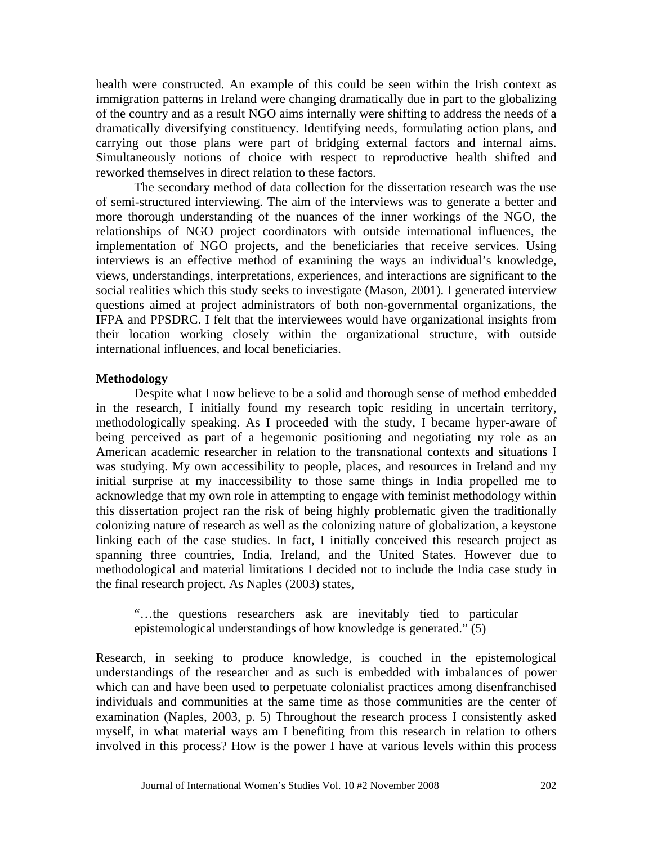health were constructed. An example of this could be seen within the Irish context as immigration patterns in Ireland were changing dramatically due in part to the globalizing of the country and as a result NGO aims internally were shifting to address the needs of a dramatically diversifying constituency. Identifying needs, formulating action plans, and carrying out those plans were part of bridging external factors and internal aims. Simultaneously notions of choice with respect to reproductive health shifted and reworked themselves in direct relation to these factors.

The secondary method of data collection for the dissertation research was the use of semi-structured interviewing. The aim of the interviews was to generate a better and more thorough understanding of the nuances of the inner workings of the NGO, the relationships of NGO project coordinators with outside international influences, the implementation of NGO projects, and the beneficiaries that receive services. Using interviews is an effective method of examining the ways an individual's knowledge, views, understandings, interpretations, experiences, and interactions are significant to the social realities which this study seeks to investigate (Mason, 2001). I generated interview questions aimed at project administrators of both non-governmental organizations, the IFPA and PPSDRC. I felt that the interviewees would have organizational insights from their location working closely within the organizational structure, with outside international influences, and local beneficiaries.

# **Methodology**

Despite what I now believe to be a solid and thorough sense of method embedded in the research, I initially found my research topic residing in uncertain territory, methodologically speaking. As I proceeded with the study, I became hyper-aware of being perceived as part of a hegemonic positioning and negotiating my role as an American academic researcher in relation to the transnational contexts and situations I was studying. My own accessibility to people, places, and resources in Ireland and my initial surprise at my inaccessibility to those same things in India propelled me to acknowledge that my own role in attempting to engage with feminist methodology within this dissertation project ran the risk of being highly problematic given the traditionally colonizing nature of research as well as the colonizing nature of globalization, a keystone linking each of the case studies. In fact, I initially conceived this research project as spanning three countries, India, Ireland, and the United States. However due to methodological and material limitations I decided not to include the India case study in the final research project. As Naples (2003) states,

"…the questions researchers ask are inevitably tied to particular epistemological understandings of how knowledge is generated." (5)

Research, in seeking to produce knowledge, is couched in the epistemological understandings of the researcher and as such is embedded with imbalances of power which can and have been used to perpetuate colonialist practices among disenfranchised individuals and communities at the same time as those communities are the center of examination (Naples, 2003, p. 5) Throughout the research process I consistently asked myself, in what material ways am I benefiting from this research in relation to others involved in this process? How is the power I have at various levels within this process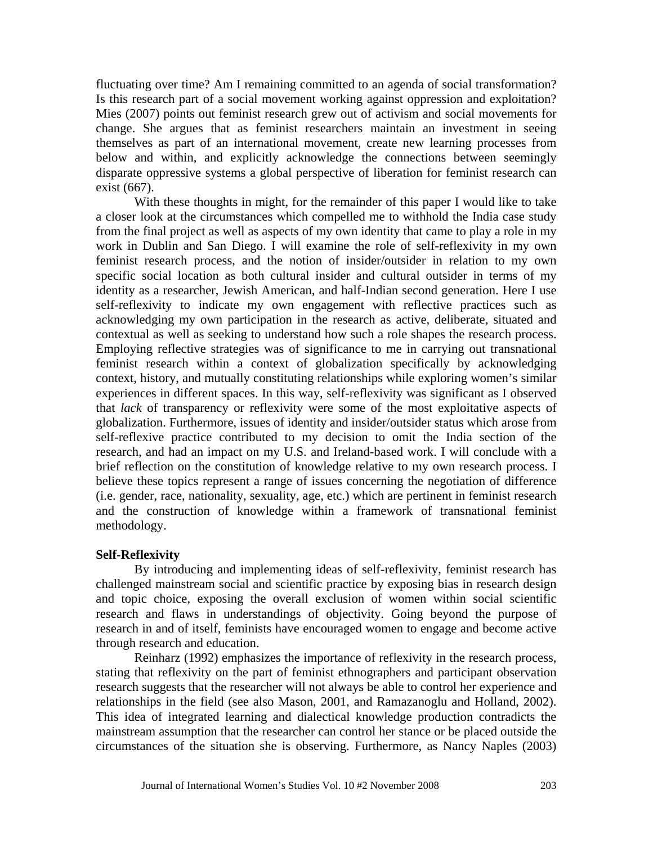Is this research part of a social movement working against oppression and exploitation? fluctuating over time? Am I remaining committed to an agenda of social transformation? Mies (2007) points out feminist research grew out of activism and social movements for change. She argues that as feminist researchers maintain an investment in seeing themselves as part of an international movement, create new learning processes from below and within, and explicitly acknowledge the connections between seemingly disparate oppressive systems a global perspective of liberation for feminist research can exist (667).

With these thoughts in might, for the remainder of this paper I would like to take a closer look at the circumstances which compelled me to withhold the India case study from the final project as well as aspects of my own identity that came to play a role in my work in Dublin and San Diego. I will examine the role of self-reflexivity in my own feminist research process, and the notion of insider/outsider in relation to my own specific social location as both cultural insider and cultural outsider in terms of my identity as a researcher, Jewish American, and half-Indian second generation. Here I use self-reflexivity to indicate my own engagement with reflective practices such as acknowledging my own participation in the research as active, deliberate, situated and contextual as well as seeking to understand how such a role shapes the research process. Employing reflective strategies was of significance to me in carrying out transnational feminist research within a context of globalization specifically by acknowledging context, history, and mutually constituting relationships while exploring women's similar experiences in different spaces. In this way, self-reflexivity was significant as I observed that *lack* of transparency or reflexivity were some of the most exploitative aspects of globalization. Furthermore, issues of identity and insider/outsider status which arose from self-reflexive practice contributed to my decision to omit the India section of the research, and had an impact on my U.S. and Ireland-based work. I will conclude with a brief reflection on the constitution of knowledge relative to my own research process. I believe these topics represent a range of issues concerning the negotiation of difference (i.e. gender, race, nationality, sexuality, age, etc.) which are pertinent in feminist research and the construction of knowledge within a framework of transnational feminist methodology.

# **Self-Reflexivity**

By introducing and implementing ideas of self-reflexivity, feminist research has challenged mainstream social and scientific practice by exposing bias in research design and topic choice, exposing the overall exclusion of women within social scientific research and flaws in understandings of objectivity. Going beyond the purpose of research in and of itself, feminists have encouraged women to engage and become active through research and education.

Reinharz (1992) emphasizes the importance of reflexivity in the research process, stating that reflexivity on the part of feminist ethnographers and participant observation research suggests that the researcher will not always be able to control her experience and relationships in the field (see also Mason, 2001, and Ramazanoglu and Holland, 2002). This idea of integrated learning and dialectical knowledge production contradicts the mainstream assumption that the researcher can control her stance or be placed outside the circumstances of the situation she is observing. Furthermore, as Nancy Naples (2003)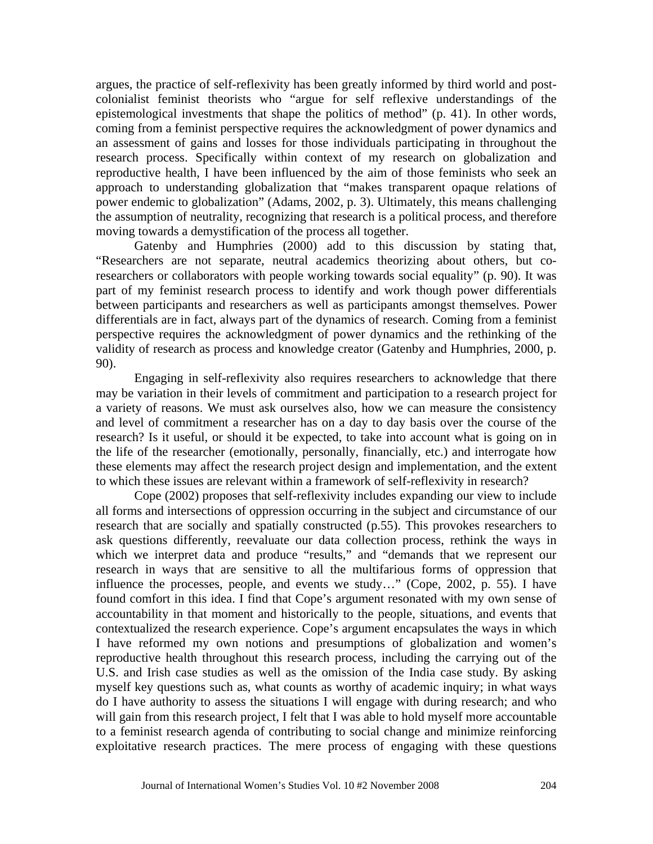argues, the practice of self-reflexivity has been greatly informed by third world and postcolonialist feminist theorists who "argue for self reflexive understandings of the epistemological investments that shape the politics of method" (p. 41). In other words, coming from a feminist perspective requires the acknowledgment of power dynamics and an assessment of gains and losses for those individuals participating in throughout the research process. Specifically within context of my research on globalization and reproductive health, I have been influenced by the aim of those feminists who seek an approach to understanding globalization that "makes transparent opaque relations of power endemic to globalization" (Adams, 2002, p. 3). Ultimately, this means challenging the assumption of neutrality, recognizing that research is a political process, and therefore moving towards a demystification of the process all together.

Gatenby and Humphries (2000) add to this discussion by stating that, "Researchers are not separate, neutral academics theorizing about others, but coresearchers or collaborators with people working towards social equality" (p. 90). It was part of my feminist research process to identify and work though power differentials between participants and researchers as well as participants amongst themselves. Power differentials are in fact, always part of the dynamics of research. Coming from a feminist perspective requires the acknowledgment of power dynamics and the rethinking of the validity of research as process and knowledge creator (Gatenby and Humphries, 2000, p. 90).

Engaging in self-reflexivity also requires researchers to acknowledge that there may be variation in their levels of commitment and participation to a research project for a variety of reasons. We must ask ourselves also, how we can measure the consistency and level of commitment a researcher has on a day to day basis over the course of the research? Is it useful, or should it be expected, to take into account what is going on in the life of the researcher (emotionally, personally, financially, etc.) and interrogate how these elements may affect the research project design and implementation, and the extent to which these issues are relevant within a framework of self-reflexivity in research?

Cope (2002) proposes that self-reflexivity includes expanding our view to include all forms and intersections of oppression occurring in the subject and circumstance of our research that are socially and spatially constructed (p.55). This provokes researchers to ask questions differently, reevaluate our data collection process, rethink the ways in which we interpret data and produce "results," and "demands that we represent our research in ways that are sensitive to all the multifarious forms of oppression that influence the processes, people, and events we study…" (Cope, 2002, p. 55). I have found comfort in this idea. I find that Cope's argument resonated with my own sense of accountability in that moment and historically to the people, situations, and events that contextualized the research experience. Cope's argument encapsulates the ways in which I have reformed my own notions and presumptions of globalization and women's reproductive health throughout this research process, including the carrying out of the U.S. and Irish case studies as well as the omission of the India case study. By asking myself key questions such as, what counts as worthy of academic inquiry; in what ways do I have authority to assess the situations I will engage with during research; and who will gain from this research project, I felt that I was able to hold myself more accountable to a feminist research agenda of contributing to social change and minimize reinforcing exploitative research practices. The mere process of engaging with these questions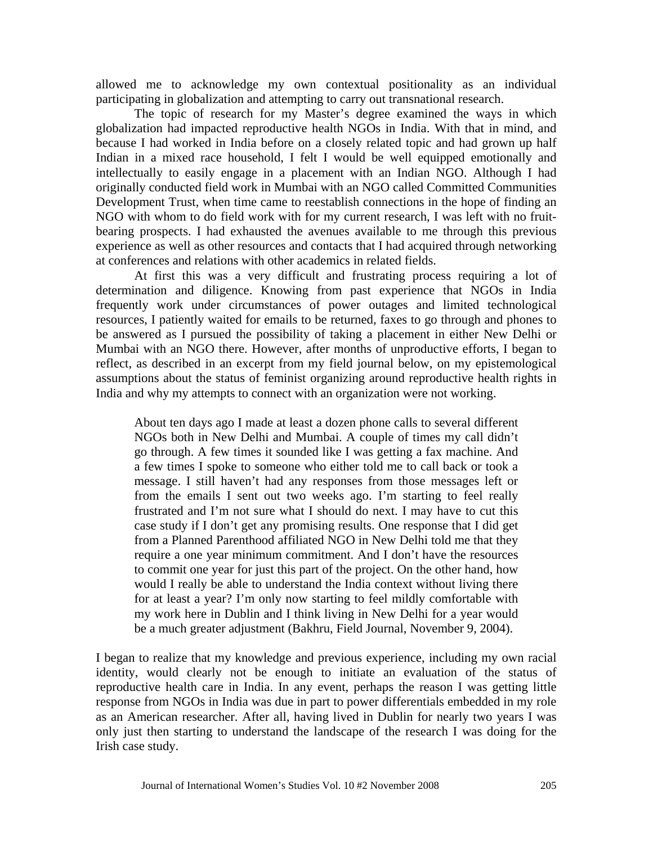allowed me to acknowledge my own contextual positionality as an individual participating in globalization and attempting to carry out transnational research.

The topic of research for my Master's degree examined the ways in which globalization had impacted reproductive health NGOs in India. With that in mind, and because I had worked in India before on a closely related topic and had grown up half Indian in a mixed race household, I felt I would be well equipped emotionally and intellectually to easily engage in a placement with an Indian NGO. Although I had originally conducted field work in Mumbai with an NGO called Committed Communities Development Trust, when time came to reestablish connections in the hope of finding an NGO with whom to do field work with for my current research, I was left with no fruitbearing prospects. I had exhausted the avenues available to me through this previous experience as well as other resources and contacts that I had acquired through networking at conferences and relations with other academics in related fields.

At first this was a very difficult and frustrating process requiring a lot of determination and diligence. Knowing from past experience that NGOs in India frequently work under circumstances of power outages and limited technological resources, I patiently waited for emails to be returned, faxes to go through and phones to be answered as I pursued the possibility of taking a placement in either New Delhi or Mumbai with an NGO there. However, after months of unproductive efforts, I began to reflect, as described in an excerpt from my field journal below, on my epistemological assumptions about the status of feminist organizing around reproductive health rights in India and why my attempts to connect with an organization were not working.

About ten days ago I made at least a dozen phone calls to several different NGOs both in New Delhi and Mumbai. A couple of times my call didn't go through. A few times it sounded like I was getting a fax machine. And a few times I spoke to someone who either told me to call back or took a message. I still haven't had any responses from those messages left or from the emails I sent out two weeks ago. I'm starting to feel really frustrated and I'm not sure what I should do next. I may have to cut this case study if I don't get any promising results. One response that I did get from a Planned Parenthood affiliated NGO in New Delhi told me that they require a one year minimum commitment. And I don't have the resources to commit one year for just this part of the project. On the other hand, how would I really be able to understand the India context without living there for at least a year? I'm only now starting to feel mildly comfortable with my work here in Dublin and I think living in New Delhi for a year would be a much greater adjustment (Bakhru, Field Journal, November 9, 2004).

I began to realize that my knowledge and previous experience, including my own racial identity, would clearly not be enough to initiate an evaluation of the status of reproductive health care in India. In any event, perhaps the reason I was getting little response from NGOs in India was due in part to power differentials embedded in my role as an American researcher. After all, having lived in Dublin for nearly two years I was only just then starting to understand the landscape of the research I was doing for the Irish case study.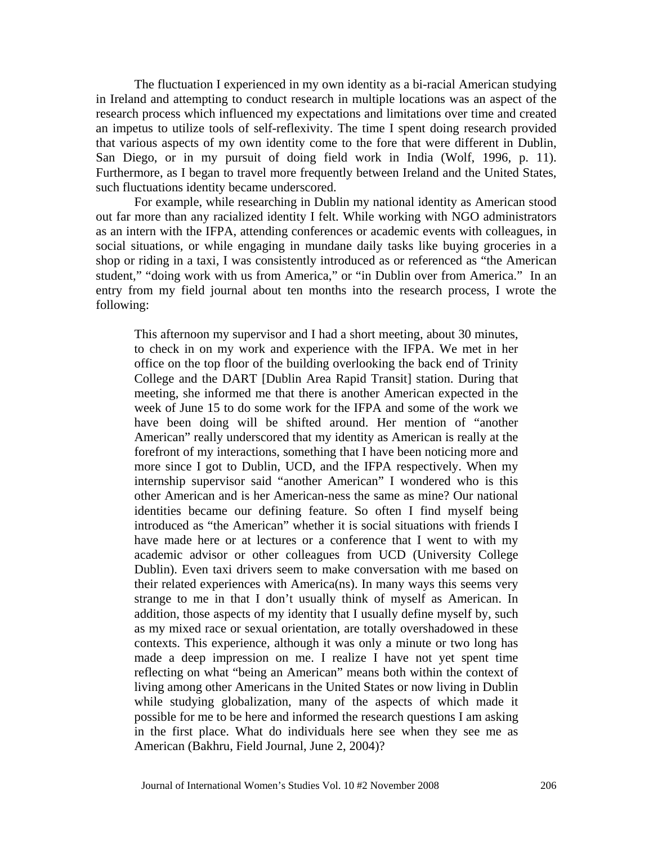The fluctuation I experienced in my own identity as a bi-racial American studying in Ireland and attempting to conduct research in multiple locations was an aspect of the research process which influenced my expectations and limitations over time and created an impetus to utilize tools of self-reflexivity. The time I spent doing research provided that various aspects of my own identity come to the fore that were different in Dublin, San Diego, or in my pursuit of doing field work in India (Wolf, 1996, p. 11). Furthermore, as I began to travel more frequently between Ireland and the United States, such fluctuations identity became underscored.

For example, while researching in Dublin my national identity as American stood out far more than any racialized identity I felt. While working with NGO administrators as an intern with the IFPA, attending conferences or academic events with colleagues, in social situations, or while engaging in mundane daily tasks like buying groceries in a shop or riding in a taxi, I was consistently introduced as or referenced as "the American student," "doing work with us from America," or "in Dublin over from America." In an entry from my field journal about ten months into the research process, I wrote the following:

This afternoon my supervisor and I had a short meeting, about 30 minutes, to check in on my work and experience with the IFPA. We met in her office on the top floor of the building overlooking the back end of Trinity College and the DART [Dublin Area Rapid Transit] station. During that meeting, she informed me that there is another American expected in the week of June 15 to do some work for the IFPA and some of the work we have been doing will be shifted around. Her mention of "another American" really underscored that my identity as American is really at the forefront of my interactions, something that I have been noticing more and more since I got to Dublin, UCD, and the IFPA respectively. When my internship supervisor said "another American" I wondered who is this other American and is her American-ness the same as mine? Our national identities became our defining feature. So often I find myself being introduced as "the American" whether it is social situations with friends I have made here or at lectures or a conference that I went to with my academic advisor or other colleagues from UCD (University College Dublin). Even taxi drivers seem to make conversation with me based on their related experiences with America(ns). In many ways this seems very strange to me in that I don't usually think of myself as American. In addition, those aspects of my identity that I usually define myself by, such as my mixed race or sexual orientation, are totally overshadowed in these contexts. This experience, although it was only a minute or two long has made a deep impression on me. I realize I have not yet spent time reflecting on what "being an American" means both within the context of living among other Americans in the United States or now living in Dublin while studying globalization, many of the aspects of which made it possible for me to be here and informed the research questions I am asking in the first place. What do individuals here see when they see me as American (Bakhru, Field Journal, June 2, 2004)?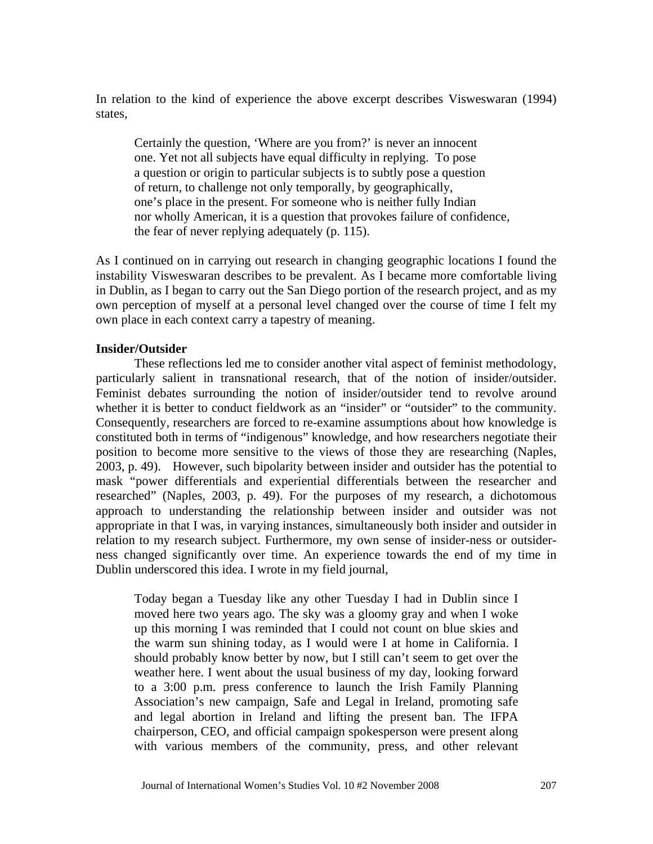In relation to the kind of experience the above excerpt describes Visweswaran (1994) states,

Certainly the question, 'Where are you from?' is never an innocent one. Yet not all subjects have equal difficulty in replying. To pose a question or origin to particular subjects is to subtly pose a question of return, to challenge not only temporally, by geographically, one's place in the present. For someone who is neither fully Indian nor wholly American, it is a question that provokes failure of confidence, the fear of never replying adequately (p. 115).

As I continued on in carrying out research in changing geographic locations I found the instability Visweswaran describes to be prevalent. As I became more comfortable living in Dublin, as I began to carry out the San Diego portion of the research project, and as my own perception of myself at a personal level changed over the course of time I felt my own place in each context carry a tapestry of meaning.

# **Insider/Outsider**

These reflections led me to consider another vital aspect of feminist methodology, particularly salient in transnational research, that of the notion of insider/outsider. Feminist debates surrounding the notion of insider/outsider tend to revolve around whether it is better to conduct fieldwork as an "insider" or "outsider" to the community. Consequently, researchers are forced to re-examine assumptions about how knowledge is constituted both in terms of "indigenous" knowledge, and how researchers negotiate their position to become more sensitive to the views of those they are researching (Naples, 2003, p. 49). However, such bipolarity between insider and outsider has the potential to mask "power differentials and experiential differentials between the researcher and researched" (Naples, 2003, p. 49). For the purposes of my research, a dichotomous approach to understanding the relationship between insider and outsider was not appropriate in that I was, in varying instances, simultaneously both insider and outsider in relation to my research subject. Furthermore, my own sense of insider-ness or outsiderness changed significantly over time. An experience towards the end of my time in Dublin underscored this idea. I wrote in my field journal,

Today began a Tuesday like any other Tuesday I had in Dublin since I moved here two years ago. The sky was a gloomy gray and when I woke up this morning I was reminded that I could not count on blue skies and the warm sun shining today, as I would were I at home in California. I should probably know better by now, but I still can't seem to get over the weather here. I went about the usual business of my day, looking forward to a 3:00 p.m. press conference to launch the Irish Family Planning Association's new campaign, Safe and Legal in Ireland, promoting safe and legal abortion in Ireland and lifting the present ban. The IFPA chairperson, CEO, and official campaign spokesperson were present along with various members of the community, press, and other relevant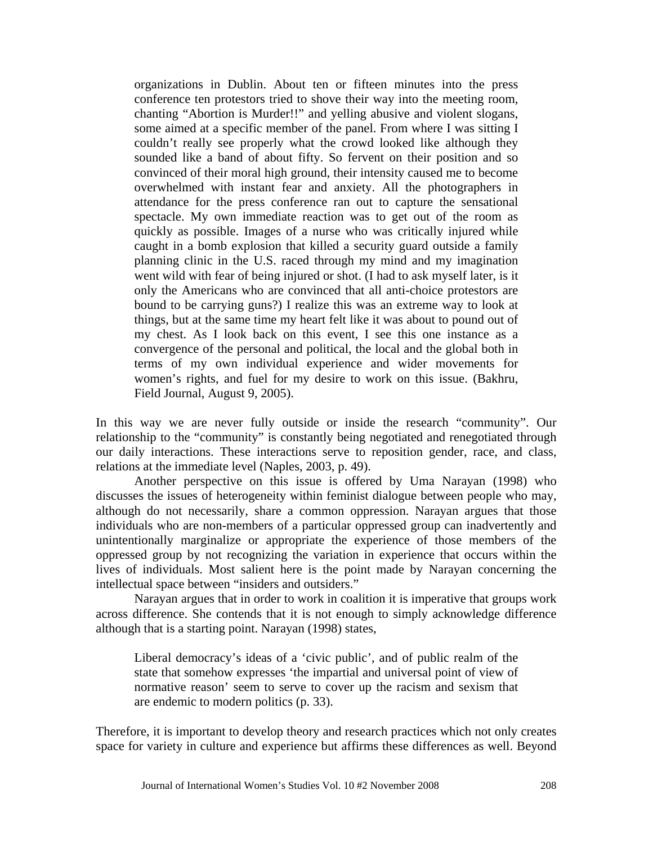organizations in Dublin. About ten or fifteen minutes into the press conference ten protestors tried to shove their way into the meeting room, chanting "Abortion is Murder!!" and yelling abusive and violent slogans, some aimed at a specific member of the panel. From where I was sitting I couldn't really see properly what the crowd looked like although they sounded like a band of about fifty. So fervent on their position and so convinced of their moral high ground, their intensity caused me to become overwhelmed with instant fear and anxiety. All the photographers in attendance for the press conference ran out to capture the sensational spectacle. My own immediate reaction was to get out of the room as quickly as possible. Images of a nurse who was critically injured while caught in a bomb explosion that killed a security guard outside a family planning clinic in the U.S. raced through my mind and my imagination went wild with fear of being injured or shot. (I had to ask myself later, is it only the Americans who are convinced that all anti-choice protestors are bound to be carrying guns?) I realize this was an extreme way to look at things, but at the same time my heart felt like it was about to pound out of my chest. As I look back on this event, I see this one instance as a convergence of the personal and political, the local and the global both in terms of my own individual experience and wider movements for women's rights, and fuel for my desire to work on this issue. (Bakhru, Field Journal, August 9, 2005).

In this way we are never fully outside or inside the research "community". Our relationship to the "community" is constantly being negotiated and renegotiated through our daily interactions. These interactions serve to reposition gender, race, and class, relations at the immediate level (Naples, 2003, p. 49).

Another perspective on this issue is offered by Uma Narayan (1998) who discusses the issues of heterogeneity within feminist dialogue between people who may, although do not necessarily, share a common oppression. Narayan argues that those individuals who are non-members of a particular oppressed group can inadvertently and unintentionally marginalize or appropriate the experience of those members of the oppressed group by not recognizing the variation in experience that occurs within the lives of individuals. Most salient here is the point made by Narayan concerning the intellectual space between "insiders and outsiders."

Narayan argues that in order to work in coalition it is imperative that groups work across difference. She contends that it is not enough to simply acknowledge difference although that is a starting point. Narayan (1998) states,

Liberal democracy's ideas of a 'civic public', and of public realm of the state that somehow expresses 'the impartial and universal point of view of normative reason' seem to serve to cover up the racism and sexism that are endemic to modern politics (p. 33).

Therefore, it is important to develop theory and research practices which not only creates space for variety in culture and experience but affirms these differences as well. Beyond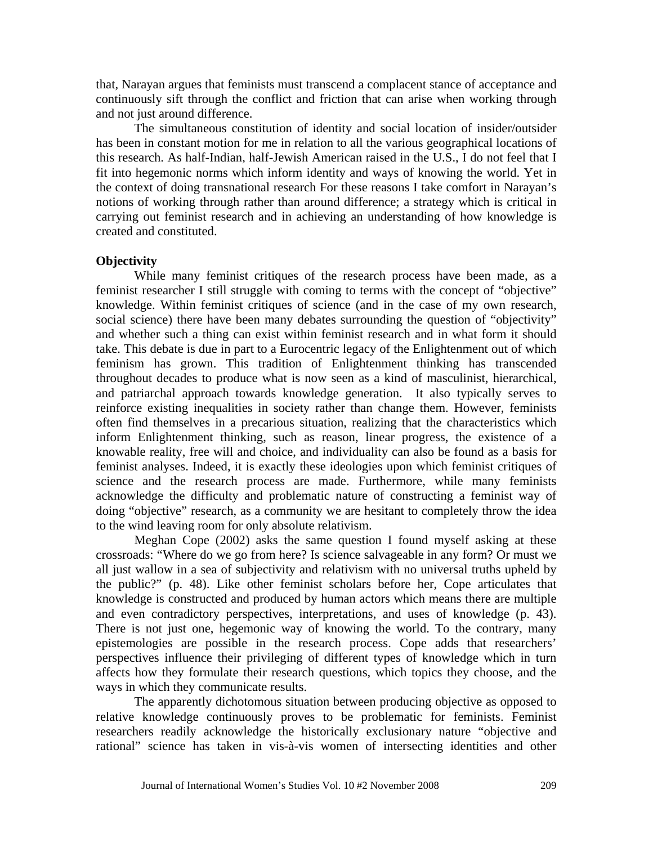that, Narayan argues that feminists must transcend a complacent stance of acceptance and continuously sift through the conflict and friction that can arise when working through and not just around difference.

The simultaneous constitution of identity and social location of insider/outsider has been in constant motion for me in relation to all the various geographical locations of this research. As half-Indian, half-Jewish American raised in the U.S., I do not feel that I fit into hegemonic norms which inform identity and ways of knowing the world. Yet in the context of doing transnational research For these reasons I take comfort in Narayan's notions of working through rather than around difference; a strategy which is critical in carrying out feminist research and in achieving an understanding of how knowledge is created and constituted.

### **Objectivity**

to the wind leaving room for only absolute relativism. While many feminist critiques of the research process have been made, as a feminist researcher I still struggle with coming to terms with the concept of "objective" knowledge. Within feminist critiques of science (and in the case of my own research, social science) there have been many debates surrounding the question of "objectivity" and whether such a thing can exist within feminist research and in what form it should take. This debate is due in part to a Eurocentric legacy of the Enlightenment out of which feminism has grown. This tradition of Enlightenment thinking has transcended throughout decades to produce what is now seen as a kind of masculinist, hierarchical, and patriarchal approach towards knowledge generation. It also typically serves to reinforce existing inequalities in society rather than change them. However, feminists often find themselves in a precarious situation, realizing that the characteristics which inform Enlightenment thinking, such as reason, linear progress, the existence of a knowable reality, free will and choice, and individuality can also be found as a basis for feminist analyses. Indeed, it is exactly these ideologies upon which feminist critiques of science and the research process are made. Furthermore, while many feminists acknowledge the difficulty and problematic nature of constructing a feminist way of doing "objective" research, as a community we are hesitant to completely throw the idea

Meghan Cope (2002) asks the same question I found myself asking at these crossroads: "Where do we go from here? Is science salvageable in any form? Or must we all just wallow in a sea of subjectivity and relativism with no universal truths upheld by the public?" (p. 48). Like other feminist scholars before her, Cope articulates that knowledge is constructed and produced by human actors which means there are multiple and even contradictory perspectives, interpretations, and uses of knowledge (p. 43). There is not just one, hegemonic way of knowing the world. To the contrary, many epistemologies are possible in the research process. Cope adds that researchers' perspectives influence their privileging of different types of knowledge which in turn affects how they formulate their research questions, which topics they choose, and the ways in which they communicate results.

The apparently dichotomous situation between producing objective as opposed to relative knowledge continuously proves to be problematic for feminists. Feminist researchers readily acknowledge the historically exclusionary nature "objective and rational" science has taken in vis-à-vis women of intersecting identities and other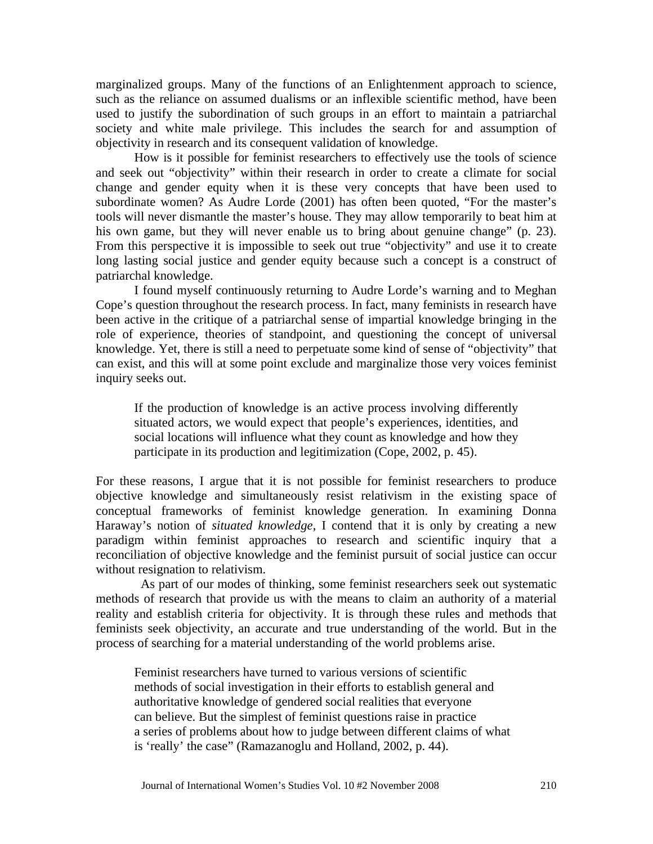marginalized groups. Many of the functions of an Enlightenment approach to science, such as the reliance on assumed dualisms or an inflexible scientific method, have been used to justify the subordination of such groups in an effort to maintain a patriarchal society and white male privilege. This includes the search for and assumption of objectivity in research and its consequent validation of knowledge.

How is it possible for feminist researchers to effectively use the tools of science and seek out "objectivity" within their research in order to create a climate for social change and gender equity when it is these very concepts that have been used to subordinate women? As Audre Lorde (2001) has often been quoted, "For the master's tools will never dismantle the master's house. They may allow temporarily to beat him at his own game, but they will never enable us to bring about genuine change" (p. 23). From this perspective it is impossible to seek out true "objectivity" and use it to create long lasting social justice and gender equity because such a concept is a construct of patriarchal knowledge.

I found myself continuously returning to Audre Lorde's warning and to Meghan Cope's question throughout the research process. In fact, many feminists in research have been active in the critique of a patriarchal sense of impartial knowledge bringing in the role of experience, theories of standpoint, and questioning the concept of universal knowledge. Yet, there is still a need to perpetuate some kind of sense of "objectivity" that can exist, and this will at some point exclude and marginalize those very voices feminist inquiry seeks out.

If the production of knowledge is an active process involving differently situated actors, we would expect that people's experiences, identities, and social locations will influence what they count as knowledge and how they participate in its production and legitimization (Cope, 2002, p. 45).

For these reasons, I argue that it is not possible for feminist researchers to produce objective knowledge and simultaneously resist relativism in the existing space of conceptual frameworks of feminist knowledge generation. In examining Donna Haraway's notion of *situated knowledge*, I contend that it is only by creating a new paradigm within feminist approaches to research and scientific inquiry that a reconciliation of objective knowledge and the feminist pursuit of social justice can occur without resignation to relativism.

As part of our modes of thinking, some feminist researchers seek out systematic methods of research that provide us with the means to claim an authority of a material reality and establish criteria for objectivity. It is through these rules and methods that feminists seek objectivity, an accurate and true understanding of the world. But in the process of searching for a material understanding of the world problems arise.

Feminist researchers have turned to various versions of scientific methods of social investigation in their efforts to establish general and authoritative knowledge of gendered social realities that everyone can believe. But the simplest of feminist questions raise in practice a series of problems about how to judge between different claims of what is 'really' the case" (Ramazanoglu and Holland, 2002, p. 44).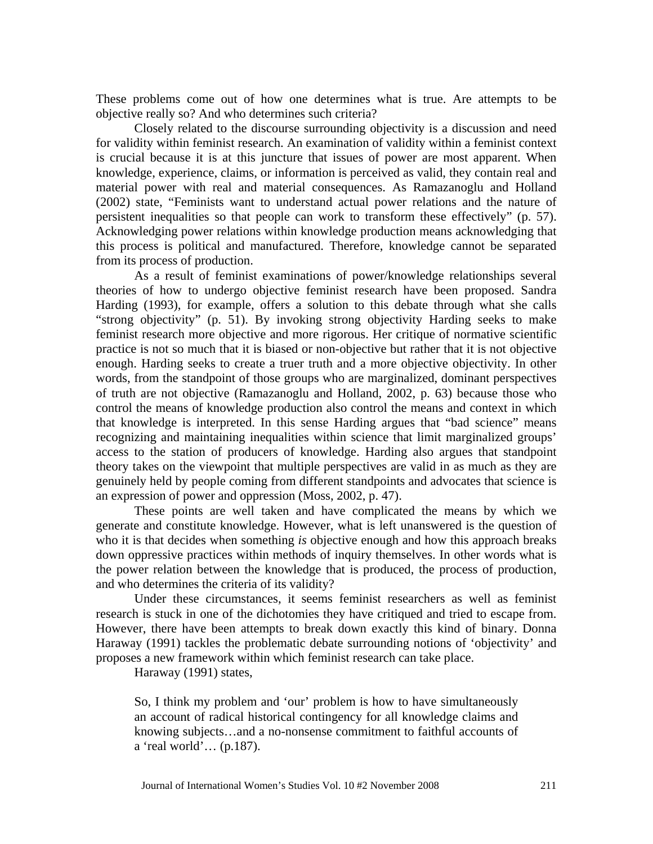These problems come out of how one determines what is true. Are attempts to be objective really so? And who determines such criteria?

Closely related to the discourse surrounding objectivity is a discussion and need for validity within feminist research. An examination of validity within a feminist context is crucial because it is at this juncture that issues of power are most apparent. When knowledge, experience, claims, or information is perceived as valid, they contain real and material power with real and material consequences. As Ramazanoglu and Holland (2002) state, "Feminists want to understand actual power relations and the nature of persistent inequalities so that people can work to transform these effectively" (p. 57). Acknowledging power relations within knowledge production means acknowledging that this process is political and manufactured. Therefore, knowledge cannot be separated from its process of production.

As a result of feminist examinations of power/knowledge relationships several theories of how to undergo objective feminist research have been proposed. Sandra Harding (1993), for example, offers a solution to this debate through what she calls "strong objectivity" (p. 51). By invoking strong objectivity Harding seeks to make feminist research more objective and more rigorous. Her critique of normative scientific practice is not so much that it is biased or non-objective but rather that it is not objective enough. Harding seeks to create a truer truth and a more objective objectivity. In other words, from the standpoint of those groups who are marginalized, dominant perspectives of truth are not objective (Ramazanoglu and Holland, 2002, p. 63) because those who control the means of knowledge production also control the means and context in which that knowledge is interpreted. In this sense Harding argues that "bad science" means recognizing and maintaining inequalities within science that limit marginalized groups' access to the station of producers of knowledge. Harding also argues that standpoint theory takes on the viewpoint that multiple perspectives are valid in as much as they are genuinely held by people coming from different standpoints and advocates that science is an expression of power and oppression (Moss, 2002, p. 47).

These points are well taken and have complicated the means by which we generate and constitute knowledge. However, what is left unanswered is the question of who it is that decides when something *is* objective enough and how this approach breaks down oppressive practices within methods of inquiry themselves. In other words what is the power relation between the knowledge that is produced, the process of production, and who determines the criteria of its validity?

Under these circumstances, it seems feminist researchers as well as feminist research is stuck in one of the dichotomies they have critiqued and tried to escape from. However, there have been attempts to break down exactly this kind of binary. Donna Haraway (1991) tackles the problematic debate surrounding notions of 'objectivity' and proposes a new framework within which feminist research can take place.

Haraway (1991) states,

So, I think my problem and 'our' problem is how to have simultaneously an account of radical historical contingency for all knowledge claims and knowing subjects…and a no-nonsense commitment to faithful accounts of a 'real world'… (p.187).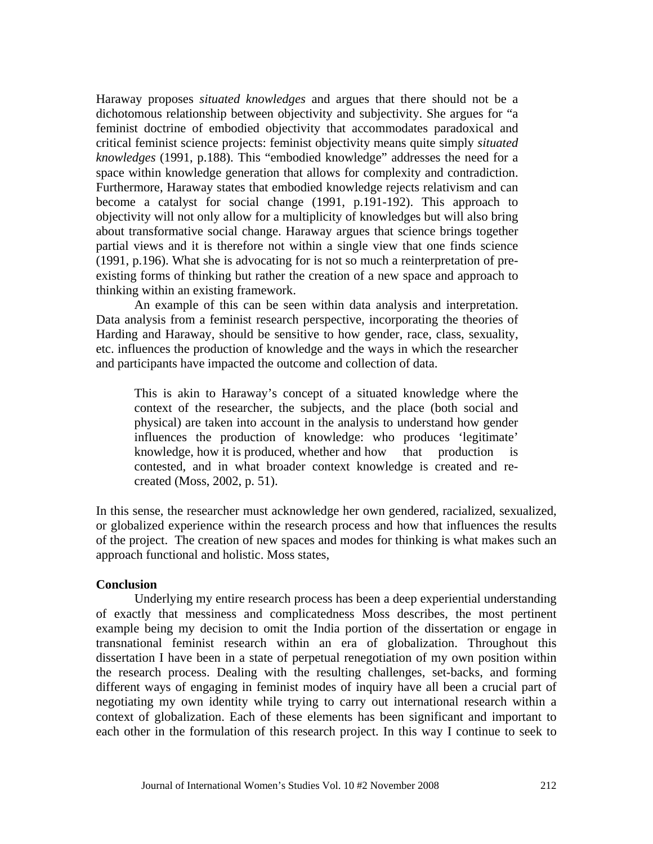space within knowledge generation that allows for complexity and contradiction. Haraway proposes *situated knowledges* and argues that there should not be a dichotomous relationship between objectivity and subjectivity. She argues for "a feminist doctrine of embodied objectivity that accommodates paradoxical and critical feminist science projects: feminist objectivity means quite simply *situated knowledges* (1991, p.188). This "embodied knowledge" addresses the need for a Furthermore, Haraway states that embodied knowledge rejects relativism and can become a catalyst for social change (1991, p.191-192). This approach to objectivity will not only allow for a multiplicity of knowledges but will also bring about transformative social change. Haraway argues that science brings together partial views and it is therefore not within a single view that one finds science (1991, p.196). What she is advocating for is not so much a reinterpretation of preexisting forms of thinking but rather the creation of a new space and approach to thinking within an existing framework.

An example of this can be seen within data analysis and interpretation. Data analysis from a feminist research perspective, incorporating the theories of Harding and Haraway, should be sensitive to how gender, race, class, sexuality, etc. influences the production of knowledge and the ways in which the researcher and participants have impacted the outcome and collection of data.

This is akin to Haraway's concept of a situated knowledge where the context of the researcher, the subjects, and the place (both social and physical) are taken into account in the analysis to understand how gender influences the production of knowledge: who produces 'legitimate' knowledge, how it is produced, whether and how that production is contested, and in what broader context knowledge is created and recreated (Moss, 2002, p. 51).

In this sense, the researcher must acknowledge her own gendered, racialized, sexualized, or globalized experience within the research process and how that influences the results of the project. The creation of new spaces and modes for thinking is what makes such an approach functional and holistic. Moss states,

#### **Conclusion**

Underlying my entire research process has been a deep experiential understanding of exactly that messiness and complicatedness Moss describes, the most pertinent example being my decision to omit the India portion of the dissertation or engage in transnational feminist research within an era of globalization. Throughout this dissertation I have been in a state of perpetual renegotiation of my own position within the research process. Dealing with the resulting challenges, set-backs, and forming different ways of engaging in feminist modes of inquiry have all been a crucial part of negotiating my own identity while trying to carry out international research within a context of globalization. Each of these elements has been significant and important to each other in the formulation of this research project. In this way I continue to seek to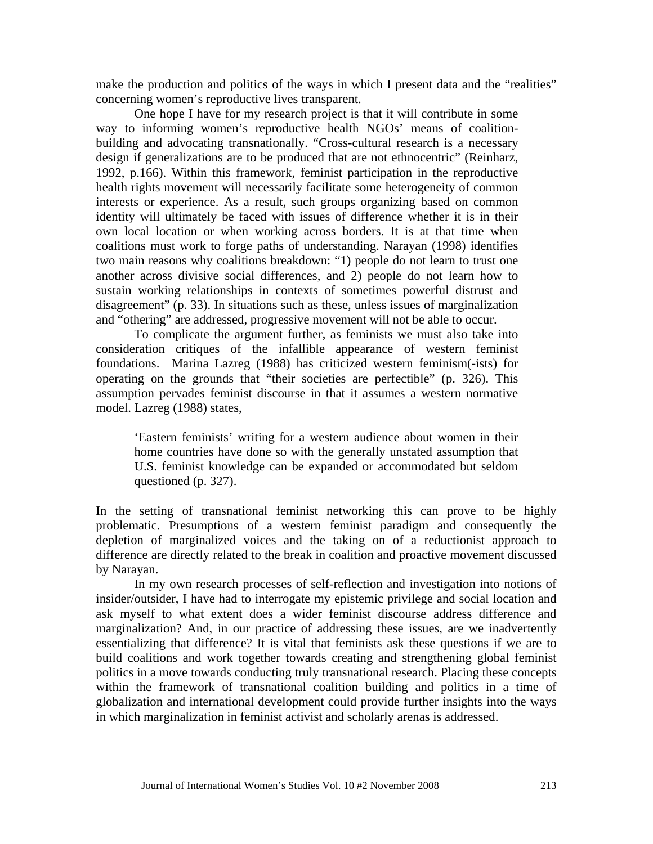make the production and politics of the ways in which I present data and the "realities" concerning women's reproductive lives transparent.

One hope I have for my research project is that it will contribute in some way to informing women's reproductive health NGOs' means of coalitionbuilding and advocating transnationally. "Cross-cultural research is a necessary design if generalizations are to be produced that are not ethnocentric" (Reinharz, 1992, p.166). Within this framework, feminist participation in the reproductive health rights movement will necessarily facilitate some heterogeneity of common interests or experience. As a result, such groups organizing based on common identity will ultimately be faced with issues of difference whether it is in their own local location or when working across borders. It is at that time when coalitions must work to forge paths of understanding. Narayan (1998) identifies two main reasons why coalitions breakdown: "1) people do not learn to trust one another across divisive social differences, and 2) people do not learn how to sustain working relationships in contexts of sometimes powerful distrust and disagreement" (p. 33). In situations such as these, unless issues of marginalization and "othering" are addressed, progressive movement will not be able to occur.

To complicate the argument further, as feminists we must also take into consideration critiques of the infallible appearance of western feminist foundations. Marina Lazreg (1988) has criticized western feminism(-ists) for operating on the grounds that "their societies are perfectible" (p. 326). This assumption pervades feminist discourse in that it assumes a western normative model. Lazreg (1988) states,

'Eastern feminists' writing for a western audience about women in their home countries have done so with the generally unstated assumption that U.S. feminist knowledge can be expanded or accommodated but seldom questioned (p. 327).

In the setting of transnational feminist networking this can prove to be highly problematic. Presumptions of a western feminist paradigm and consequently the depletion of marginalized voices and the taking on of a reductionist approach to difference are directly related to the break in coalition and proactive movement discussed by Narayan.

In my own research processes of self-reflection and investigation into notions of insider/outsider, I have had to interrogate my epistemic privilege and social location and ask myself to what extent does a wider feminist discourse address difference and marginalization? And, in our practice of addressing these issues, are we inadvertently essentializing that difference? It is vital that feminists ask these questions if we are to build coalitions and work together towards creating and strengthening global feminist politics in a move towards conducting truly transnational research. Placing these concepts within the framework of transnational coalition building and politics in a time of globalization and international development could provide further insights into the ways in which marginalization in feminist activist and scholarly arenas is addressed.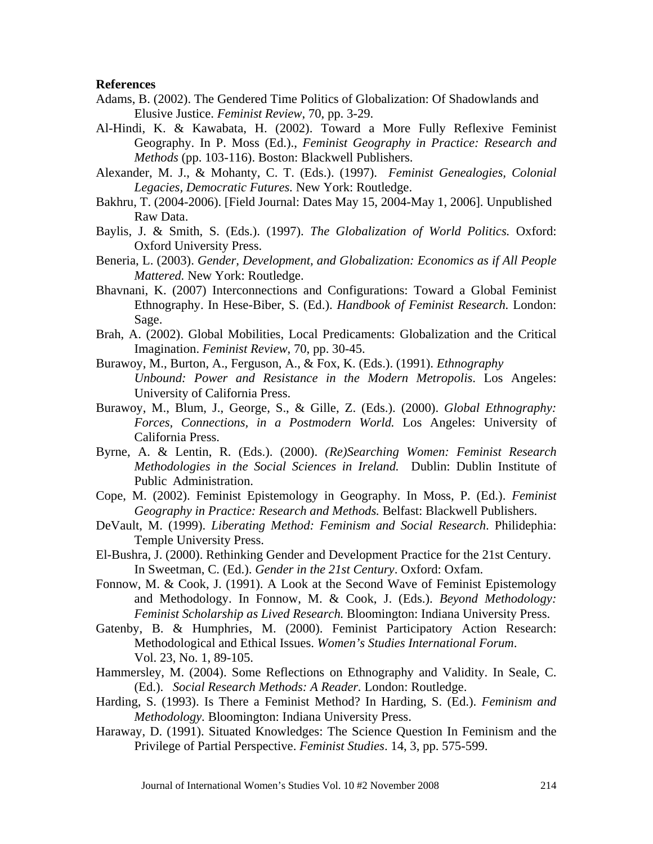#### **References**

- Adams, B. (2002). The Gendered Time Politics of Globalization: Of Shadowlands and Elusive Justice. *Feminist Review*, 70, pp. 3-29.
- Al-Hindi, K. & Kawabata, H. (2002). Toward a More Fully Reflexive Feminist Geography. In P. Moss (Ed.)., *Feminist Geography in Practice: Research and Methods* (pp. 103-116). Boston: Blackwell Publishers.
- Alexander, M. J., & Mohanty, C. T. (Eds.). (1997). *Feminist Genealogies, Colonial Legacies, Democratic Futures.* New York: Routledge.
- Bakhru, T. (2004-2006). [Field Journal: Dates May 15, 2004-May 1, 2006]. Unpublished Raw Data.
- Baylis, J. & Smith, S. (Eds.). (1997). *The Globalization of World Politics.* Oxford: Oxford University Press.
- Beneria, L. (2003). *Gender, Development, and Globalization: Economics as if All People Mattered.* New York: Routledge.
- Ethnography. In Hese-Biber, S. (Ed.). *Handbook of Feminist Research.* London: Bhavnani, K. (2007) Interconnections and Configurations: Toward a Global Feminist Sage.
- Brah, A. (2002). Global Mobilities, Local Predicaments: Globalization and the Critical Imagination. *Feminist Review*, 70, pp. 30-45.
- Burawoy, M., Burton, A., Ferguson, A., & Fox, K. (Eds.). (1991). *Ethnography Unbound: Power and Resistance in the Modern Metropolis*. Los Angeles: University of California Press.
- Burawoy, M., Blum, J., George, S., & Gille, Z. (Eds.). (2000). *Global Ethnography: Forces, Connections, in a Postmodern World.* Los Angeles: University of California Press.
- Byrne, A. & Lentin, R. (Eds.). (2000). *(Re)Searching Women: Feminist Research Methodologies in the Social Sciences in Ireland.* Dublin: Dublin Institute of Public Administration.
- Cope, M. (2002). Feminist Epistemology in Geography. In Moss, P. (Ed.). *Feminist Geography in Practice: Research and Methods.* Belfast: Blackwell Publishers.
- Temple University Press. DeVault, M. (1999). *Liberating Method: Feminism and Social Research*. Philidephia:
- El-Bushra, J. (2000). Rethinking Gender and Development Practice for the 21st Century. In Sweetman, C. (Ed.). *Gender in the 21st Century*. Oxford: Oxfam.
- Fonnow, M. & Cook, J. (1991). A Look at the Second Wave of Feminist Epistemology and Methodology. In Fonnow, M. & Cook, J. (Eds.). *Beyond Methodology: Feminist Scholarship as Lived Research.* Bloomington: Indiana University Press.
- Gatenby, B. & Humphries, M. (2000). Feminist Participatory Action Research: Methodological and Ethical Issues. *Women's Studies International Forum*. Vol. 23, No. 1, 89-105.
- Hammersley, M. (2004). Some Reflections on Ethnography and Validity. In Seale, C. (Ed.). *Social Research Methods: A Reader.* London: Routledge.
- Harding, S. (1993). Is There a Feminist Method? In Harding, S. (Ed.). *Feminism and Methodology.* Bloomington: Indiana University Press.
- Haraway, D. (1991). Situated Knowledges: The Science Question In Feminism and the Privilege of Partial Perspective. *Feminist Studies*. 14, 3, pp. 575-599.

Journal of International Women's Studies Vol. 10 #2 November 2008 214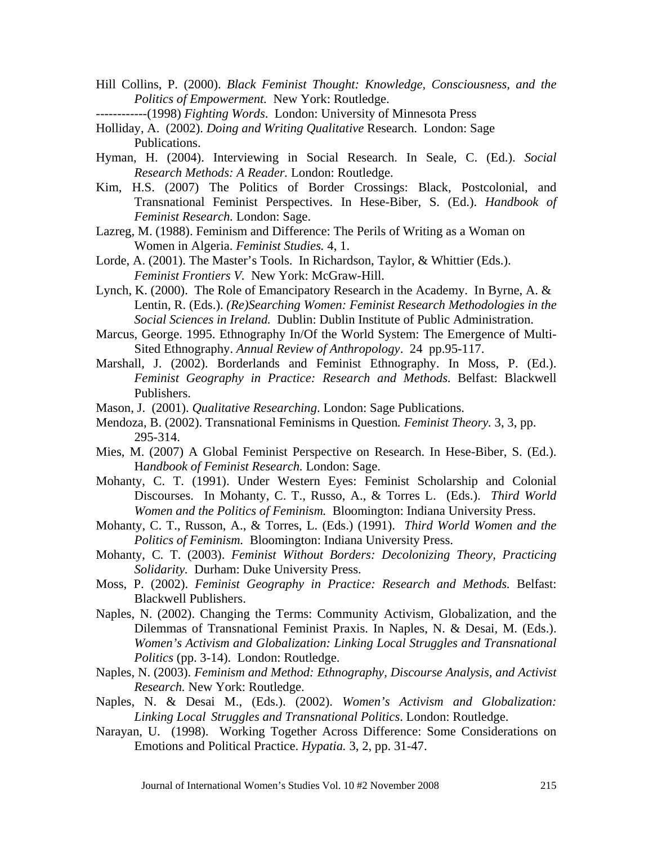- Hill Collins, P. (2000). *Black Feminist Thought: Knowledge, Consciousness, and the Politics of Empowerment.* New York: Routledge.
- ------------(1998) *Fighting Words*. London: University of Minnesota Press
- Holliday, A. (2002). *Doing and Writing Qualitative* Research. London: Sage Publications.
- Hyman, H. (2004). Interviewing in Social Research. In Seale, C. (Ed.). *Social Research Methods: A Reader.* London: Routledge.
- Kim, H.S. (2007) The Politics of Border Crossings: Black, Postcolonial, and Transnational Feminist Perspectives. In Hese-Biber, S. (Ed.). *Handbook of Feminist Research.* London: Sage.
- Lazreg, M. (1988). Feminism and Difference: The Perils of Writing as a Woman on Women in Algeria. *Feminist Studies.* 4, 1.
- Lorde, A. (2001). The Master's Tools. In Richardson, Taylor, & Whittier (Eds.). *Feminist Frontiers V.* New York: McGraw-Hill.
- Lynch, K. (2000). The Role of Emancipatory Research in the Academy. In Byrne, A. & Lentin, R. (Eds.). *(Re)Searching Women: Feminist Research Methodologies in the Social Sciences in Ireland.* Dublin: Dublin Institute of Public Administration.
- Marcus, George. 1995. Ethnography In/Of the World System: The Emergence of Multi Sited Ethnography. *Annual Review of Anthropology*. 24 pp.95-117.
- Marshall, J. (2002). Borderlands and Feminist Ethnography. In Moss, P. (Ed.). *Feminist Geography in Practice: Research and Methods*. Belfast: Blackwell Publishers.
- Mason, J. (2001). *Qualitative Researching*. London: Sage Publications.
- Mendoza, B. (2002). Transnational Feminisms in Question*. Feminist Theory.* 3, 3, pp. 295-314.
- Mies, M. (2007) A Global Feminist Perspective on Research. In Hese-Biber, S. (Ed.). H*andbook of Feminist Research.* London: Sage.
- Mohanty, C. T. (1991). Under Western Eyes: Feminist Scholarship and Colonial Discourses. In Mohanty, C. T., Russo, A., & Torres L. (Eds.). *Third World Women and the Politics of Feminism.* Bloomington: Indiana University Press.
- Mohanty, C. T., Russon, A., & Torres, L. (Eds.) (1991). *Third World Women and the Politics of Feminism.* Bloomington: Indiana University Press.
- Mohanty, C. T. (2003). *Feminist Without Borders: Decolonizing Theory, Practicing Solidarity.* Durham: Duke University Press.
- Moss, P. (2002). *Feminist Geography in Practice: Research and Methods.* Belfast: Blackwell Publishers.
- Naples, N. (2002). Changing the Terms: Community Activism, Globalization, and the Dilemmas of Transnational Feminist Praxis. In Naples, N. & Desai, M. (Eds.). *Women's Activism and Globalization: Linking Local Struggles and Transnational Politics* (pp. 3-14). London: Routledge.
- Naples, N. (2003). *Feminism and Method: Ethnography, Discourse Analysis, and Activist Research.* New York: Routledge.
- Naples, N. & Desai M., (Eds.). (2002). *Women's Activism and Globalization: Linking Local Struggles and Transnational Politics*. London: Routledge.
- Narayan, U. (1998). Working Together Across Difference: Some Considerations on Emotions and Political Practice. *Hypatia.* 3, 2, pp. 31-47.

Journal of International Women's Studies Vol. 10 #2 November 2008 215